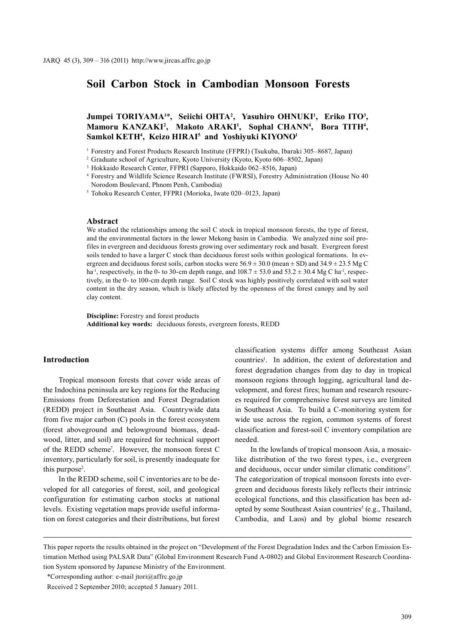# **Soil Carbon Stock in Cambodian Monsoon Forests**

## Jumpei TORIYAMA<sup>1\*</sup>, Seiichi OHTA<sup>2</sup>, Yasuhiro OHNUKI<sup>1</sup>, Eriko ITO<sup>3</sup>, Mamoru KANZAKI<sup>2</sup>, Makoto ARAKI<sup>1</sup>, Sophal CHANN<sup>4</sup>, Bora TITH<sup>4</sup>, **Samkol KETH4 , Keizo HIRAI5 and Yoshiyuki KIYONO1**

<sup>1</sup> Forestry and Forest Products Research Institute (FFPRI) (Tsukuba, Ibaraki 305-8687, Japan)

<sup>4</sup> Forestry and Wildlife Science Research Institute (FWRSI), Forestry Administration (House No 40 Norodom Boulevard, Phnom Penh, Cambodia)

<sup>5</sup> Tohoku Research Center, FFPRI (Morioka, Iwate 020–0123, Japan)

#### **Abstract**

We studied the relationships among the soil C stock in tropical monsoon forests, the type of forest, and the environmental factors in the lower Mekong basin in Cambodia. We analyzed nine soil profiles in evergreen and deciduous forests growing over sedimentary rock and basalt. Evergreen forest soils tended to have a larger C stock than deciduous forest soils within geological formations. In evergreen and deciduous forest soils, carbon stocks were  $56.9 \pm 30.0$  (mean  $\pm$  SD) and  $34.9 \pm 23.5$  Mg C ha<sup>-1</sup>, respectively, in the 0- to 30-cm depth range, and  $108.7 \pm 53.0$  and  $53.2 \pm 30.4$  Mg C ha<sup>-1</sup>, respectively, in the 0- to 100-cm depth range. Soil C stock was highly positively correlated with soil water content in the dry season, which is likely affected by the openness of the forest canopy and by soil clay content.

**Discipline:** Forestry and forest products **Additional key words:** deciduous forests, evergreen forests, REDD

#### **Introduction**

Tropical monsoon forests that cover wide areas of the Indochina peninsula are key regions for the Reducing Emissions from Deforestation and Forest Degradation (REDD) project in Southeast Asia. Countrywide data from five major carbon (C) pools in the forest ecosystem (forest aboveground and belowground biomass, deadwood, litter, and soil) are required for technical support of the REDD scheme<sup>7</sup>. However, the monsoon forest C inventory, particularly for soil, is presently inadequate for this purpose<sup>2</sup>.

In the REDD scheme, soil C inventories are to be developed for all categories of forest, soil, and geological configuration for estimating carbon stocks at national levels. Existing vegetation maps provide useful information on forest categories and their distributions, but forest classification systems differ among Southeast Asian countries<sup>1</sup>. In addition, the extent of deforestation and forest degradation changes from day to day in tropical monsoon regions through logging, agricultural land development, and forest fires; human and research resources required for comprehensive forest surveys are limited in Southeast Asia. To build a C-monitoring system for wide use across the region, common systems of forest classification and forest-soil C inventory compilation are needed.

In the lowlands of tropical monsoon Asia, a mosaiclike distribution of the two forest types, i.e., evergreen and deciduous, occur under similar climatic conditions<sup>17</sup>. The categorization of tropical monsoon forests into evergreen and deciduous forests likely reflects their intrinsic ecological functions, and this classification has been adopted by some Southeast Asian countries<sup>5</sup> (e.g., Thailand, Cambodia, and Laos) and by global biome research

\*Corresponding author: e-mail jtori@affrc.go.jp

<sup>2</sup> Graduate school of Agriculture, Kyoto University (Kyoto, Kyoto 606–8502, Japan)

<sup>3</sup> Hokkaido Research Center, FFPRI (Sapporo, Hokkaido 062–8516, Japan)

This paper reports the results obtained in the project on "Development of the Forest Degradation Index and the Carbon Emission Estimation Method using PALSAR Data" (Global Environment Research Fund A-0802) and Global Environment Research Coordination System sponsored by Japanese Ministry of the Environment.

Received 2 September 2010; accepted 5 January 2011.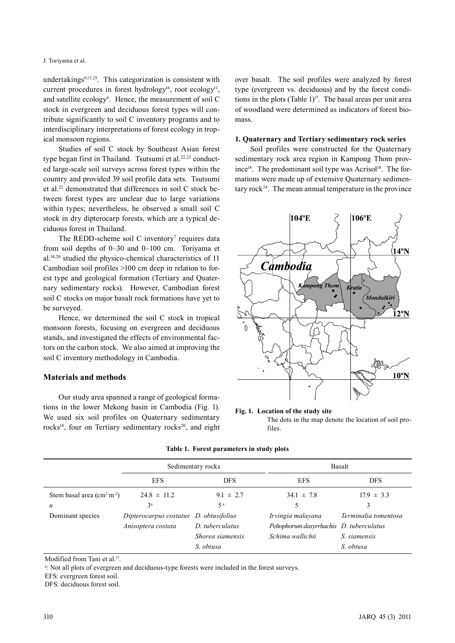undertakings<sup>9,13,25</sup>. This categorization is consistent with current procedures in forest hydrology<sup>16</sup>, root ecology<sup>11</sup>, and satellite ecology<sup>6</sup>. Hence, the measurement of soil C stock in evergreen and deciduous forest types will contribute significantly to soil C inventory programs and to interdisciplinary interpretations of forest ecology in tropical monsoon regions.

Studies of soil C stock by Southeast Asian forest type began first in Thailand. Tsutsumi et al.<sup>22,23</sup> conducted large-scale soil surveys across forest types within the country and provided 39 soil profile data sets. Tsutsumi et al.22 demonstrated that differences in soil C stock between forest types are unclear due to large variations within types; nevertheless, he observed a small soil C stock in dry dipterocarp forests, which are a typical deciduous forest in Thailand.

The REDD-scheme soil  $C$  inventory<sup>7</sup> requires data from soil depths of 0–30 and 0–100 cm. Toriyama et al.18,20 studied the physico-chemical characteristics of 11 Cambodian soil profiles >100 cm deep in relation to forest type and geological formation (Tertiary and Quaternary sedimentary rocks). However, Cambodian forest soil C stocks on major basalt rock formations have yet to be surveyed.

Hence, we determined the soil C stock in tropical monsoon forests, focusing on evergreen and deciduous stands, and investigated the effects of environmental factors on the carbon stock. We also aimed at improving the soil C inventory methodology in Cambodia.

### **Materials and methods**

Our study area spanned a range of geological formations in the lower Mekong basin in Cambodia (Fig. 1). We used six soil profiles on Quaternary sedimentary rocks<sup>18</sup>, four on Tertiary sedimentary rocks<sup>20</sup>, and eight over basalt. The soil profiles were analyzed by forest type (evergreen vs. deciduous) and by the forest conditions in the plots (Table 1) $^{17}$ . The basal areas per unit area of woodland were determined as indicators of forest biomass.

#### **1. Quaternary and Tertiary sedimentary rock series**

Soil profiles were constructed for the Quaternary sedimentary rock area region in Kampong Thom prov $i$ nce<sup>18</sup>. The predominant soil type was Acrisol<sup>18</sup>. The formations were made up of extensive Quaternary sedimentary rock<sup>24</sup>. The mean annual temperature in the province



#### **Fig. 1. Location of the study site**

The dots in the map denote the location of soil profiles.

|                                             |                        | Sedimentary rocks | Basalt                                   |                      |  |
|---------------------------------------------|------------------------|-------------------|------------------------------------------|----------------------|--|
|                                             | <b>EFS</b>             | <b>DFS</b>        | <b>EFS</b>                               | <b>DFS</b>           |  |
| Stem basal area $\text{(cm}^2 \text{ m}^2)$ | $24.8 \pm 11.2$        | $9.1 \pm 2.7$     | $34.1 \pm 7.8$                           | $17.9 \pm 3.3$       |  |
| n                                           | 3 <sup>a</sup>         | 5 <sup>a</sup>    |                                          |                      |  |
| Dominant species                            | Dipterocarpus costatus | D. obtusifolius   | Irvingia malayana                        | Terminalia tomentosa |  |
|                                             | Anisoptera costata     | D. tuberculatus   | Peltophorum dasyrrhachis D. tuberculatus |                      |  |
|                                             |                        | Shorea siamensis  | Schima wallichii                         | S. siamensis         |  |
|                                             |                        | S. obtusa         |                                          | S. obtusa            |  |

### **Table 1. Forest parameters in study plots**

Modified from Tani et al.<sup>17</sup>.

a : Not all plots of evergreen and deciduous-type forests were included in the forest surveys.

EFS: evergreen forest soil.

DFS: deciduous forest soil.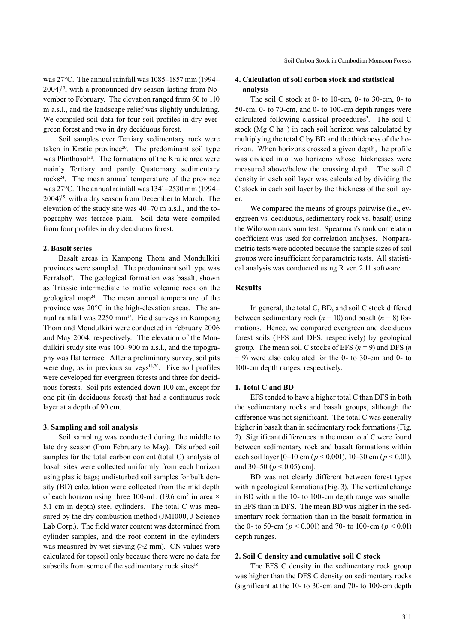was 27°C. The annual rainfall was 1085–1857 mm (1994–  $2004$ <sup>15</sup>, with a pronounced dry season lasting from November to February. The elevation ranged from 60 to 110 m a.s.l., and the landscape relief was slightly undulating. We compiled soil data for four soil profiles in dry evergreen forest and two in dry deciduous forest.

Soil samples over Tertiary sedimentary rock were taken in Kratie province<sup>20</sup>. The predominant soil type was Plinthosol<sup>20</sup>. The formations of the Kratie area were mainly Tertiary and partly Quaternary sedimentary rocks24. The mean annual temperature of the province was 27°C. The annual rainfall was 1341–2530 mm (1994– 2004)15, with a dry season from December to March. The elevation of the study site was 40–70 m a.s.l., and the topography was terrace plain. Soil data were compiled from four profiles in dry deciduous forest.

#### **2. Basalt series**

Basalt areas in Kampong Thom and Mondulkiri provinces were sampled. The predominant soil type was Ferralsol<sup>4</sup>. The geological formation was basalt, shown as Triassic intermediate to mafic volcanic rock on the geological map24. The mean annual temperature of the province was 20°C in the high-elevation areas. The annual rainfall was 2250 mm<sup>17</sup>. Field surveys in Kampong Thom and Mondulkiri were conducted in February 2006 and May 2004, respectively. The elevation of the Mondulkiri study site was 100–900 m a.s.l., and the topography was flat terrace. After a preliminary survey, soil pits were dug, as in previous surveys $18,20$ . Five soil profiles were developed for evergreen forests and three for deciduous forests. Soil pits extended down 100 cm, except for one pit (in deciduous forest) that had a continuous rock layer at a depth of 90 cm.

#### **3. Sampling and soil analysis**

Soil sampling was conducted during the middle to late dry season (from February to May). Disturbed soil samples for the total carbon content (total C) analysis of basalt sites were collected uniformly from each horizon using plastic bags; undisturbed soil samples for bulk density (BD) calculation were collected from the mid depth of each horizon using three 100-mL (19.6 cm<sup>2</sup> in area  $\times$ 5.1 cm in depth) steel cylinders. The total C was measured by the dry combustion method (JM1000, J-Science Lab Corp.). The field water content was determined from cylinder samples, and the root content in the cylinders was measured by wet sieving  $(2 \text{ mm})$ . CN values were calculated for topsoil only because there were no data for subsoils from some of the sedimentary rock sites<sup>18</sup>.

## **4. Calculation of soil carbon stock and statistical analysis**

The soil C stock at 0- to 10-cm, 0- to 30-cm, 0- to 50-cm, 0- to 70-cm, and 0- to 100-cm depth ranges were calculated following classical procedures<sup>3</sup>. The soil C stock ( $Mg C$  ha<sup>-1</sup>) in each soil horizon was calculated by multiplying the total C by BD and the thickness of the horizon. When horizons crossed a given depth, the profile was divided into two horizons whose thicknesses were measured above/below the crossing depth. The soil C density in each soil layer was calculated by dividing the C stock in each soil layer by the thickness of the soil layer.

We compared the means of groups pairwise (i.e., evergreen vs. deciduous, sedimentary rock vs. basalt) using the Wilcoxon rank sum test. Spearman's rank correlation coefficient was used for correlation analyses. Nonparametric tests were adopted because the sample sizes of soil groups were insufficient for parametric tests. All statistical analysis was conducted using R ver. 2.11 software.

### **Results**

In general, the total C, BD, and soil C stock differed between sedimentary rock  $(n = 10)$  and basalt  $(n = 8)$  formations. Hence, we compared evergreen and deciduous forest soils (EFS and DFS, respectively) by geological group. The mean soil C stocks of EFS (*n* = 9) and DFS (*n*  $= 9$ ) were also calculated for the 0- to 30-cm and 0- to 100-cm depth ranges, respectively.

#### **1. Total C and BD**

EFS tended to have a higher total C than DFS in both the sedimentary rocks and basalt groups, although the difference was not significant. The total C was generally higher in basalt than in sedimentary rock formations (Fig. 2). Significant differences in the mean total C were found between sedimentary rock and basalt formations within each soil layer [0–10 cm (*p* < 0.001), 10–30 cm (*p* < 0.01), and 30–50 ( $p < 0.05$ ) cm].

BD was not clearly different between forest types within geological formations (Fig. 3). The vertical change in BD within the 10- to 100-cm depth range was smaller in EFS than in DFS. The mean BD was higher in the sedimentary rock formation than in the basalt formation in the 0- to 50-cm ( $p < 0.001$ ) and 70- to 100-cm ( $p < 0.01$ ) depth ranges.

#### **2. Soil C density and cumulative soil C stock**

The EFS C density in the sedimentary rock group was higher than the DFS C density on sedimentary rocks (significant at the 10- to 30-cm and 70- to 100-cm depth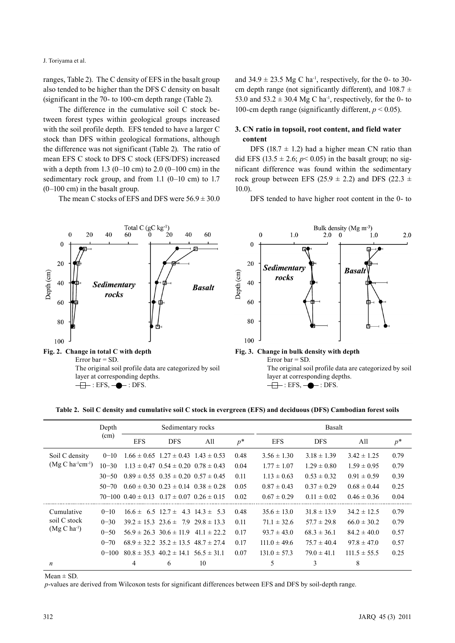J. Toriyama et al.

ranges, Table 2). The C density of EFS in the basalt group also tended to be higher than the DFS C density on basalt (significant in the 70- to 100-cm depth range (Table 2).

The difference in the cumulative soil C stock between forest types within geological groups increased with the soil profile depth. EFS tended to have a larger C stock than DFS within geological formations, although the difference was not significant (Table 2). The ratio of mean EFS C stock to DFS C stock (EFS/DFS) increased with a depth from 1.3 (0–10 cm) to 2.0 (0–100 cm) in the sedimentary rock group, and from 1.1 (0–10 cm) to 1.7 (0–100 cm) in the basalt group.

The mean C stocks of EFS and DFS were  $56.9 \pm 30.0$ 

and  $34.9 \pm 23.5$  Mg C ha<sup>-1</sup>, respectively, for the 0- to 30cm depth range (not significantly different), and  $108.7 \pm$ 53.0 and  $53.2 \pm 30.4$  Mg C ha<sup>-1</sup>, respectively, for the 0- to 100-cm depth range (significantly different, *p* < 0.05).

## **3. CN ratio in topsoil, root content, and field water content**

DFS (18.7  $\pm$  1.2) had a higher mean CN ratio than did EFS (13.5  $\pm$  2.6; *p*< 0.05) in the basalt group; no significant difference was found within the sedimentary rock group between EFS (25.9  $\pm$  2.2) and DFS (22.3  $\pm$ 10.0).

DFS tended to have higher root content in the 0- to



**Table 2. Soil C density and cumulative soil C stock in evergreen (EFS) and deciduous (DFS) Cambodian forest soils**

|                         | Depth     | Sedimentary rocks                                        |                                                 |     | Basalt |                  |                 |                  |       |
|-------------------------|-----------|----------------------------------------------------------|-------------------------------------------------|-----|--------|------------------|-----------------|------------------|-------|
|                         | (cm)      | <b>EFS</b>                                               | <b>DFS</b>                                      | All | $p^*$  | <b>EFS</b>       | <b>DFS</b>      | All              | $p^*$ |
| Soil C density          | $0 - 10$  |                                                          | $1.66 \pm 0.65$ $1.27 \pm 0.43$ $1.43 \pm 0.53$ |     | 0.48   | $3.56 \pm 1.30$  | $3.18 \pm 1.39$ | $3.42 \pm 1.25$  | 0.79  |
| $(Mg C ha^{-1}cm^{-1})$ | $10 - 30$ |                                                          | $1.13 \pm 0.47$ $0.54 \pm 0.20$ $0.78 \pm 0.43$ |     | 0.04   | $1.77 \pm 1.07$  | $1.29 \pm 0.80$ | $1.59 \pm 0.95$  | 0.79  |
|                         | $30 - 50$ |                                                          | $0.89 \pm 0.55$ $0.35 \pm 0.20$ $0.57 \pm 0.45$ |     | 0.11   | $1.13 \pm 0.63$  | $0.53 \pm 0.32$ | $0.91 \pm 0.59$  | 0.39  |
|                         | $50 - 70$ |                                                          | $0.60 \pm 0.30$ $0.23 \pm 0.14$ $0.38 \pm 0.28$ |     | 0.05   | $0.87 \pm 0.43$  | $0.37 \pm 0.29$ | $0.68 \pm 0.44$  | 0.25  |
|                         |           | $70-100$ $0.40 \pm 0.13$ $0.17 \pm 0.07$ $0.26 \pm 0.15$ |                                                 |     | 0.02   | $0.67 \pm 0.29$  | $0.11 \pm 0.02$ | $0.46 \pm 0.36$  | 0.04  |
| Cumulative              | $0 - 10$  |                                                          | $16.6 \pm 6.5$ $12.7 \pm 4.3$ $14.3 \pm 5.3$    |     | 0.48   | $35.6 \pm 13.0$  | $31.8 \pm 13.9$ | $34.2 \pm 12.5$  | 0.79  |
| soil C stock            | $0 - 30$  |                                                          | $39.2 \pm 15.3$ $23.6 \pm 7.9$ $29.8 \pm 13.3$  |     | 0.11   | $71.1 \pm 32.6$  | $57.7 \pm 29.8$ | $66.0 \pm 30.2$  | 0.79  |
| $(Mg C ha^{-1})$        | $0 - 50$  |                                                          | $56.9 \pm 26.3$ 30.6 $\pm$ 11.9 41.1 $\pm$ 22.2 |     | 0.17   | $93.7 \pm 43.0$  | $68.3 \pm 36.1$ | $84.2 \pm 40.0$  | 0.57  |
|                         | $0 - 70$  |                                                          | $68.9 \pm 32.2$ $35.2 \pm 13.5$ $48.7 \pm 27.4$ |     | 0.17   | $111.0 \pm 49.6$ | $75.7 \pm 40.4$ | $97.8 \pm 47.0$  | 0.57  |
|                         | $0 - 100$ |                                                          | $80.8 \pm 35.3$ $40.2 \pm 14.1$ $56.5 \pm 31.1$ |     | 0.07   | $131.0 \pm 57.3$ | $79.0 \pm 41.1$ | $111.5 \pm 55.5$ | 0.25  |
| n                       |           | 4                                                        | 6                                               | 10  |        | 5                | 3               | 8                |       |

 $Mean \pm SD$ .

*p*-values are derived from Wilcoxon tests for significant differences between EFS and DFS by soil-depth range.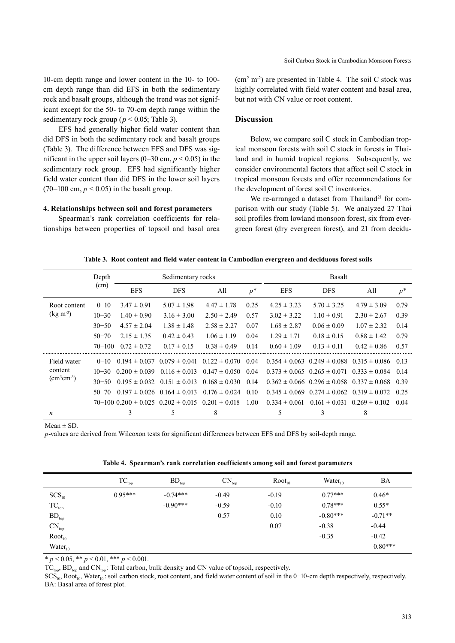10-cm depth range and lower content in the 10- to 100 cm depth range than did EFS in both the sedimentary rock and basalt groups, although the trend was not significant except for the 50- to 70-cm depth range within the sedimentary rock group ( $p < 0.05$ ; Table 3).

EFS had generally higher field water content than did DFS in both the sedimentary rock and basalt groups (Table 3). The difference between EFS and DFS was significant in the upper soil layers  $(0-30 \text{ cm}, p < 0.05)$  in the sedimentary rock group. EFS had significantly higher field water content than did DFS in the lower soil layers  $(70-100 \text{ cm}, p < 0.05)$  in the basalt group.

#### **4. Relationships between soil and forest parameters**

Spearman's rank correlation coefficients for relationships between properties of topsoil and basal area  $\text{(cm}^2 \text{ m}^2)$  are presented in Table 4. The soil C stock was highly correlated with field water content and basal area, but not with CN value or root content.

#### **Discussion**

Below, we compare soil C stock in Cambodian tropical monsoon forests with soil C stock in forests in Thailand and in humid tropical regions. Subsequently, we consider environmental factors that affect soil C stock in tropical monsoon forests and offer recommendations for the development of forest soil C inventories.

We re-arranged a dataset from Thailand<sup>21</sup> for comparison with our study (Table 5). We analyzed 27 Thai soil profiles from lowland monsoon forest, six from evergreen forest (dry evergreen forest), and 21 from decidu-

| Table 3. Root content and field water content in Cambodian evergreen and deciduous forest soils |  |
|-------------------------------------------------------------------------------------------------|--|
|                                                                                                 |  |

|                               | Depth      |                   | Sedimentary rocks                                              |                   |       | Basalt            |                                                       |                                                            |       |  |
|-------------------------------|------------|-------------------|----------------------------------------------------------------|-------------------|-------|-------------------|-------------------------------------------------------|------------------------------------------------------------|-------|--|
|                               | (cm)       | <b>EFS</b>        | <b>DFS</b>                                                     | All               | $p^*$ | <b>EFS</b>        | <b>DFS</b>                                            | All                                                        | $p^*$ |  |
| Root content                  | $0 - 10$   | $3.47 \pm 0.91$   | $5.07 \pm 1.98$                                                | $4.47 \pm 1.78$   | 0.25  | $4.25 \pm 3.23$   | $5.70 \pm 3.25$                                       | $4.79 \pm 3.09$                                            | 0.79  |  |
| $(kg m-3)$                    | $10 - 30$  | $1.40 \pm 0.90$   | $3.16 \pm 3.00$                                                | $2.50 \pm 2.49$   | 0.57  | $3.02 \pm 3.22$   | $1.10 \pm 0.91$                                       | $2.30 \pm 2.67$                                            | 0.39  |  |
|                               | $30 - 50$  | $4.57 \pm 2.04$   | $1.38 \pm 1.48$                                                | $2.58 \pm 2.27$   | 0.07  | $1.68 \pm 2.87$   | $0.06 \pm 0.09$                                       | $1.07 \pm 2.32$                                            | 0.14  |  |
|                               | $50 - 70$  | $2.15 \pm 1.35$   | $0.42 \pm 0.43$                                                | $1.06 \pm 1.19$   | 0.04  | $1.29 \pm 1.71$   | $0.18 \pm 0.15$                                       | $0.88 \pm 1.42$                                            | 0.79  |  |
|                               | $70 - 100$ | $0.72 \pm 0.72$   | $0.17 \pm 0.15$                                                | $0.38 \pm 0.49$   | 0.14  | $0.60 \pm 1.09$   | $0.13 \pm 0.11$                                       | $0.42 \pm 0.86$                                            | 0.57  |  |
| Field water                   | $0 - 10$   |                   | $0.194 \pm 0.037$ $0.079 \pm 0.041$                            | $0.122 \pm 0.070$ | 0.04  |                   |                                                       | $0.354 \pm 0.063$ $0.249 \pm 0.088$ $0.315 \pm 0.086$ 0.13 |       |  |
| content                       | $10 - 30$  | $0.200 \pm 0.039$ | $0.116 \pm 0.013$                                              | $0.147 \pm 0.050$ | 0.04  |                   | $0.373 \pm 0.065$ $0.265 \pm 0.071$                   | $0.333 \pm 0.084$                                          | 0.14  |  |
| $\text{(cm}^3\text{cm}^{-3})$ | $30 - 50$  | $0.195 \pm 0.032$ | $0.151 \pm 0.013$                                              | $0.168 \pm 0.030$ | 0.14  |                   |                                                       | $0.362 \pm 0.066$ $0.296 \pm 0.058$ $0.337 \pm 0.068$      | 0.39  |  |
|                               | $50 - 70$  |                   | $0.197 \pm 0.026$ $0.164 \pm 0.013$                            | $0.176 \pm 0.024$ | 0.10  |                   | $0.345 \pm 0.069$ $0.274 \pm 0.062$ $0.319 \pm 0.072$ |                                                            | 0.25  |  |
|                               |            |                   | $70-100$ $0.200 \pm 0.025$ $0.202 \pm 0.015$ $0.201 \pm 0.018$ |                   | 1.00  | $0.334 \pm 0.061$ | $0.161 \pm 0.031$ $0.269 \pm 0.102$                   |                                                            | 0.04  |  |
| $\boldsymbol{n}$              |            | 3                 | 5                                                              | 8                 |       | 5                 | 3                                                     | 8                                                          |       |  |

 $Mean + SD$ 

*p*-values are derived from Wilcoxon tests for significant differences between EFS and DFS by soil-depth range.

| Table 4. Spearman's rank correlation coefficients among soil and forest parameters |  |  |  |  |  |  |  |
|------------------------------------------------------------------------------------|--|--|--|--|--|--|--|
|------------------------------------------------------------------------------------|--|--|--|--|--|--|--|

|                            | $\protect\operatorname{TC}_{\textnormal{top}}$ | $BD_{top}$ | $CN_{top}$ | Root <sub>10</sub> | Water <sub>10</sub> | BA        |
|----------------------------|------------------------------------------------|------------|------------|--------------------|---------------------|-----------|
| SCS <sub>10</sub>          | $0.95***$                                      | $-0.74***$ | $-0.49$    | $-0.19$            | $0.77***$           | $0.46*$   |
| $TC_{top}$                 |                                                | $-0.90***$ | $-0.59$    | $-0.10$            | $0.78***$           | $0.55*$   |
| $\mathrm{BD}_\mathrm{top}$ |                                                |            | 0.57       | 0.10               | $-0.80***$          | $-0.71**$ |
| $\mathrm{CN}_\mathrm{top}$ |                                                |            |            | 0.07               | $-0.38$             | $-0.44$   |
| Root <sub>10</sub>         |                                                |            |            |                    | $-0.35$             | $-0.42$   |
| $Water_{10}$               |                                                |            |            |                    |                     | $0.80***$ |

\* *p* < 0.05, \*\* *p* < 0.01, \*\*\* *p* < 0.001.

 $TC_{top}$ ,  $BD_{top}$  and  $CN_{top}$ : Total carbon, bulk density and CN value of topsoil, respectively.

 $SCS<sub>10</sub>$ , Root<sub>10</sub>, Water<sub>10</sub>: soil carbon stock, root content, and field water content of soil in the 0–10-cm depth respectively, respectively. BA: Basal area of forest plot.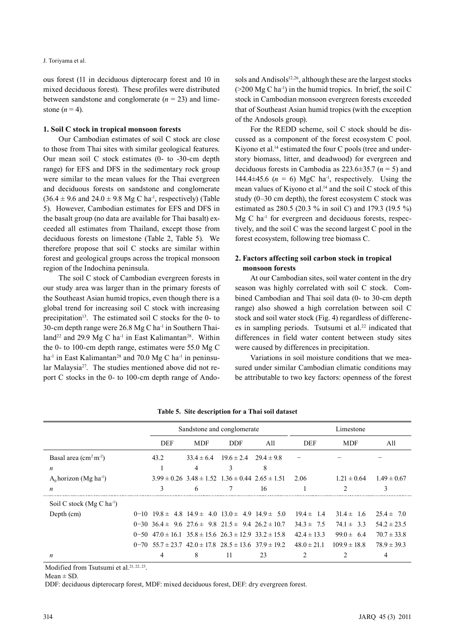ous forest (11 in deciduous dipterocarp forest and 10 in mixed deciduous forest). These profiles were distributed between sandstone and conglomerate  $(n = 23)$  and limestone  $(n = 4)$ .

### **1. Soil C stock in tropical monsoon forests**

Our Cambodian estimates of soil C stock are close to those from Thai sites with similar geological features. Our mean soil C stock estimates (0- to -30-cm depth range) for EFS and DFS in the sedimentary rock group were similar to the mean values for the Thai evergreen and deciduous forests on sandstone and conglomerate  $(36.4 \pm 9.6$  and  $24.0 \pm 9.8$  Mg C ha<sup>-1</sup>, respectively) (Table 5). However, Cambodian estimates for EFS and DFS in the basalt group (no data are available for Thai basalt) exceeded all estimates from Thailand, except those from deciduous forests on limestone (Table 2, Table 5). We therefore propose that soil C stocks are similar within forest and geological groups across the tropical monsoon region of the Indochina peninsula.

The soil C stock of Cambodian evergreen forests in our study area was larger than in the primary forests of the Southeast Asian humid tropics, even though there is a global trend for increasing soil C stock with increasing precipitation<sup>13</sup>. The estimated soil C stocks for the 0- to 30-cm depth range were  $26.8$  Mg C ha<sup>-1</sup> in Southern Thailand<sup>22</sup> and 29.9 Mg C ha<sup>-1</sup> in East Kalimantan<sup>28</sup>. Within the 0- to 100-cm depth range, estimates were 55.0 Mg C ha<sup>-1</sup> in East Kalimantan<sup>28</sup> and 70.0 Mg C ha<sup>-1</sup> in peninsular Malaysia<sup>27</sup>. The studies mentioned above did not report C stocks in the 0- to 100-cm depth range of Andosols and Andisols<sup>12,26</sup>, although these are the largest stocks  $(200 \text{ Mg C ha}^{-1})$  in the humid tropics. In brief, the soil C stock in Cambodian monsoon evergreen forests exceeded that of Southeast Asian humid tropics (with the exception of the Andosols group).

For the REDD scheme, soil C stock should be discussed as a component of the forest ecosystem C pool. Kiyono et al.<sup>14</sup> estimated the four C pools (tree and understory biomass, litter, and deadwood) for evergreen and deciduous forests in Cambodia as 223.6±35.7 (*n* = 5) and 144.4 $\pm$ 45.6 ( $n = 6$ ) MgC ha<sup>-1</sup>, respectively. Using the mean values of Kiyono et al.<sup>14</sup> and the soil C stock of this study (0–30 cm depth), the forest ecosystem C stock was estimated as 280.5 (20.3 % in soil C) and 179.3 (19.5 %) Mg C ha<sup>-1</sup> for evergreen and deciduous forests, respectively, and the soil C was the second largest C pool in the forest ecosystem, following tree biomass C.

## **2. Factors affecting soil carbon stock in tropical monsoon forests**

At our Cambodian sites, soil water content in the dry season was highly correlated with soil C stock. Combined Cambodian and Thai soil data (0- to 30-cm depth range) also showed a high correlation between soil C stock and soil water stock (Fig. 4) regardless of differences in sampling periods. Tsutsumi et al.<sup>22</sup> indicated that differences in field water content between study sites were caused by differences in precipitation.

Variations in soil moisture conditions that we measured under similar Cambodian climatic conditions may be attributable to two key factors: openness of the forest

|                                           |                                                                     | Sandstone and conglomerate                                      |                | Limestone    |                 |                 |                 |
|-------------------------------------------|---------------------------------------------------------------------|-----------------------------------------------------------------|----------------|--------------|-----------------|-----------------|-----------------|
|                                           | DEF                                                                 | <b>MDF</b>                                                      | DDF            | A11          | DEF             | <b>MDF</b>      | All             |
| Basal area $\text{(cm}^2 \text{ m}^{-2})$ | 43.2                                                                | $33.4 \pm 6.4$                                                  | $19.6 \pm 2.4$ | $294 \pm 98$ |                 |                 |                 |
| n                                         |                                                                     | 4                                                               | 3              | 8            |                 |                 |                 |
| $A_0$ horizon (Mg ha <sup>-1</sup> )      |                                                                     | $3.99 \pm 0.26$ $3.48 \pm 1.52$ $1.36 \pm 0.44$ $2.65 \pm 1.51$ |                |              | 2.06            | $1.21 \pm 0.64$ | $1.49 \pm 0.67$ |
| n                                         | $\mathbf{3}$                                                        | 6                                                               |                | 16           |                 |                 | 3               |
| Soil C stock $(Mg C ha-1)$                |                                                                     |                                                                 |                |              |                 |                 |                 |
| Depth (cm)                                | $0-10$ $19.8 \pm 4.8$ $14.9 \pm 4.0$ $13.0 \pm 4.9$ $14.9 \pm 5.0$  |                                                                 |                |              | $194 \pm 14$    | $314 \pm 16$    | $25.4 \pm 7.0$  |
|                                           | $0-30$ $36.4 \pm 9.6$ $27.6 \pm 9.8$ $21.5 \pm 9.4$ $26.2 \pm 10.7$ |                                                                 |                |              | $34.3 \pm 7.5$  | $74.1 \pm 3.3$  | $54.2 \pm 23.5$ |
|                                           | $0-50$ 47.0 ± 16.1 35.8 ± 15.6 26.3 ± 12.9 33.2 ± 15.8              |                                                                 |                |              | $42.4 \pm 13.3$ | $99.0 \pm 6.4$  | $70.7 \pm 33.8$ |
|                                           | $0-70$ 55 7 ± 23 7 42 0 ± 17 8 28 5 ± 13 6 37 9 ± 19 2              |                                                                 |                |              | $48.0 \pm 21.1$ | $1099 \pm 188$  | $789 \pm 393$   |
| n                                         | 4                                                                   | 8                                                               | 11             | 23           |                 |                 | 4               |

**Table 5. Site description for a Thai soil dataset** 

Modified from Tsutsumi et al.<sup>21, 22, 23</sup>.

 $Mean \pm SD$ .

DDF: deciduous dipterocarp forest, MDF: mixed deciduous forest, DEF: dry evergreen forest.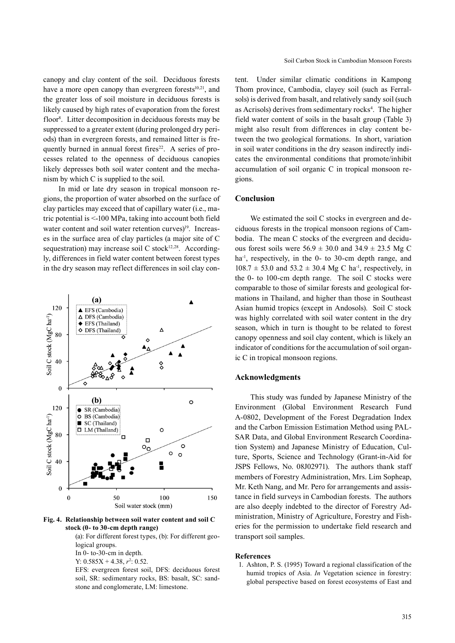canopy and clay content of the soil. Deciduous forests have a more open canopy than evergreen forests<sup>10,21</sup>, and the greater loss of soil moisture in deciduous forests is likely caused by high rates of evaporation from the forest floor<sup>8</sup>. Litter decomposition in deciduous forests may be suppressed to a greater extent (during prolonged dry periods) than in evergreen forests, and remained litter is frequently burned in annual forest fires $22$ . A series of processes related to the openness of deciduous canopies likely depresses both soil water content and the mechanism by which C is supplied to the soil.

In mid or late dry season in tropical monsoon regions, the proportion of water absorbed on the surface of clay particles may exceed that of capillary water (i.e., matric potential is <-100 MPa, taking into account both field water content and soil water retention curves)<sup>19</sup>. Increases in the surface area of clay particles (a major site of C sequestration) may increase soil C stock<sup>12,28</sup>. Accordingly, differences in field water content between forest types in the dry season may reflect differences in soil clay con-



**Fig. 4. Relationship between soil water content and soil C stock (0- to 30-cm depth range)**

(a): For different forest types, (b): For different geological groups.

In 0- to-30-cm in depth.

Y:  $0.585X + 4.38$ ,  $r^2$ : 0.52.

EFS: evergreen forest soil, DFS: deciduous forest soil, SR: sedimentary rocks, BS: basalt, SC: sandstone and conglomerate, LM: limestone.

tent. Under similar climatic conditions in Kampong Thom province, Cambodia, clayey soil (such as Ferralsols) is derived from basalt, and relatively sandy soil (such as Acrisols) derives from sedimentary rocks<sup>4</sup>. The higher field water content of soils in the basalt group (Table 3) might also result from differences in clay content between the two geological formations. In short, variation in soil water conditions in the dry season indirectly indicates the environmental conditions that promote/inhibit accumulation of soil organic C in tropical monsoon regions.

### **Conclusion**

We estimated the soil C stocks in evergreen and deciduous forests in the tropical monsoon regions of Cambodia. The mean C stocks of the evergreen and deciduous forest soils were  $56.9 \pm 30.0$  and  $34.9 \pm 23.5$  Mg C ha<sup>-1</sup>, respectively, in the 0- to 30-cm depth range, and  $108.7 \pm 53.0$  and  $53.2 \pm 30.4$  Mg C ha<sup>-1</sup>, respectively, in the 0- to 100-cm depth range. The soil C stocks were comparable to those of similar forests and geological formations in Thailand, and higher than those in Southeast Asian humid tropics (except in Andosols). Soil C stock was highly correlated with soil water content in the dry season, which in turn is thought to be related to forest canopy openness and soil clay content, which is likely an indicator of conditions for the accumulation of soil organic C in tropical monsoon regions.

#### **Acknowledgments**

This study was funded by Japanese Ministry of the Environment (Global Environment Research Fund A-0802, Development of the Forest Degradation Index and the Carbon Emission Estimation Method using PAL-SAR Data, and Global Environment Research Coordination System) and Japanese Ministry of Education, Culture, Sports, Science and Technology (Grant-in-Aid for JSPS Fellows, No. 08J02971). The authors thank staff members of Forestry Administration, Mrs. Lim Sopheap, Mr. Keth Nang, and Mr. Pero for arrangements and assistance in field surveys in Cambodian forests. The authors are also deeply indebted to the director of Forestry Administration, Ministry of Agriculture, Forestry and Fisheries for the permission to undertake field research and transport soil samples.

#### **References**

1. Ashton, P. S. (1995) Toward a regional classification of the humid tropics of Asia. *In* Vegetation science in forestry: global perspective based on forest ecosystems of East and